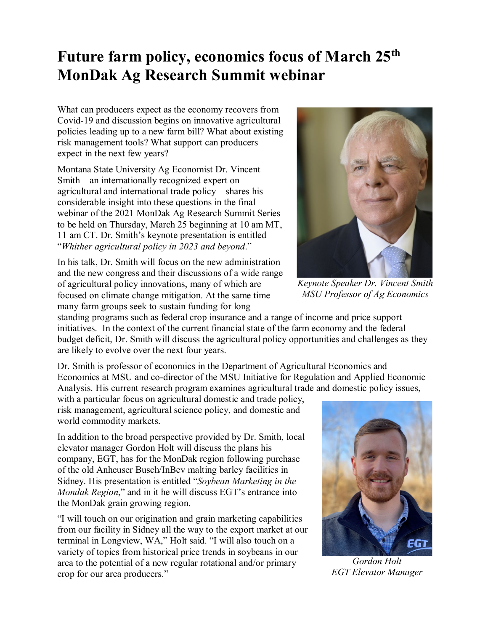## **Future farm policy, economics focus of March 25th MonDak Ag Research Summit webinar**

What can producers expect as the economy recovers from Covid-19 and discussion begins on innovative agricultural policies leading up to a new farm bill? What about existing risk management tools? What support can producers expect in the next few years?

Montana State University Ag Economist Dr. Vincent Smith – an internationally recognized expert on agricultural and international trade policy – shares his considerable insight into these questions in the final webinar of the 2021 MonDak Ag Research Summit Series to be held on Thursday, March 25 beginning at 10 am MT, 11 am CT. Dr. Smith's keynote presentation is entitled "*Whither agricultural policy in 2023 and beyond*."

In his talk, Dr. Smith will focus on the new administration and the new congress and their discussions of a wide range of agricultural policy innovations, many of which are focused on climate change mitigation. At the same time many farm groups seek to sustain funding for long

standing programs such as federal crop insurance and a range of income and price support initiatives. In the context of the current financial state of the farm economy and the federal budget deficit, Dr. Smith will discuss the agricultural policy opportunities and challenges as they are likely to evolve over the next four years.

Dr. Smith is professor of economics in the Department of Agricultural Economics and Economics at MSU and co-director of the MSU Initiative for Regulation and Applied Economic Analysis. His current research program examines agricultural trade and domestic policy issues,

with a particular focus on agricultural domestic and trade policy, risk management, agricultural science policy, and domestic and world commodity markets.

In addition to the broad perspective provided by Dr. Smith, local elevator manager Gordon Holt will discuss the plans his company, EGT, has for the MonDak region following purchase of the old Anheuser Busch/InBev malting barley facilities in Sidney. His presentation is entitled "*Soybean Marketing in the Mondak Region*," and in it he will discuss EGT's entrance into the MonDak grain growing region.

"I will touch on our origination and grain marketing capabilities from our facility in Sidney all the way to the export market at our terminal in Longview, WA," Holt said. "I will also touch on a variety of topics from historical price trends in soybeans in our area to the potential of a new regular rotational and/or primary crop for our area producers."



*Keynote Speaker Dr. Vincent Smith MSU Professor of Ag Economics*



*Gordon Holt EGT Elevator Manager*